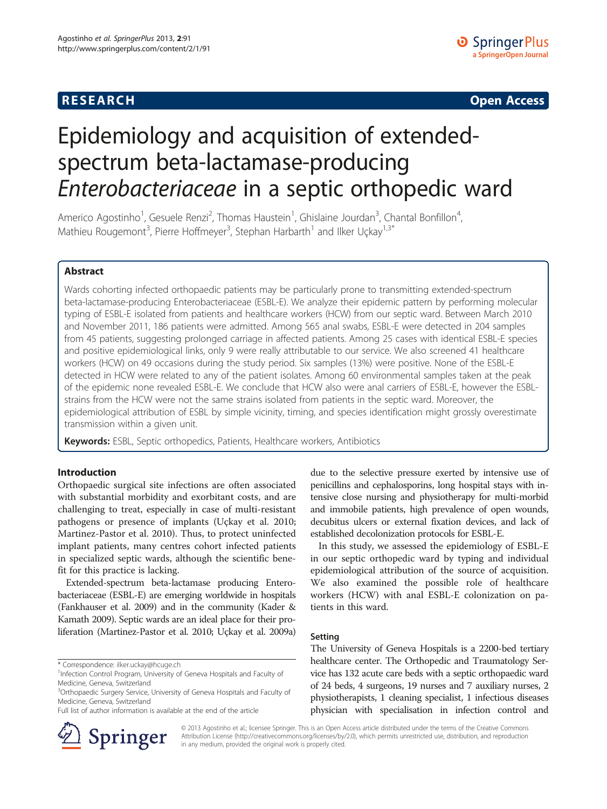**RESEARCH RESEARCH CONSUMING ACCESS** 

# Epidemiology and acquisition of extendedspectrum beta-lactamase-producing Enterobacteriaceae in a septic orthopedic ward

Americo Agostinho<sup>1</sup>, Gesuele Renzi<sup>2</sup>, Thomas Haustein<sup>1</sup>, Ghislaine Jourdan<sup>3</sup>, Chantal Bonfillon<sup>4</sup> , Mathieu Rougemont<sup>3</sup>, Pierre Hoffmeyer<sup>3</sup>, Stephan Harbarth<sup>1</sup> and Ilker Uçkay<sup>1,3\*</sup>

# Abstract

Wards cohorting infected orthopaedic patients may be particularly prone to transmitting extended-spectrum beta-lactamase-producing Enterobacteriaceae (ESBL-E). We analyze their epidemic pattern by performing molecular typing of ESBL-E isolated from patients and healthcare workers (HCW) from our septic ward. Between March 2010 and November 2011, 186 patients were admitted. Among 565 anal swabs, ESBL-E were detected in 204 samples from 45 patients, suggesting prolonged carriage in affected patients. Among 25 cases with identical ESBL-E species and positive epidemiological links, only 9 were really attributable to our service. We also screened 41 healthcare workers (HCW) on 49 occasions during the study period. Six samples (13%) were positive. None of the ESBL-E detected in HCW were related to any of the patient isolates. Among 60 environmental samples taken at the peak of the epidemic none revealed ESBL-E. We conclude that HCW also were anal carriers of ESBL-E, however the ESBLstrains from the HCW were not the same strains isolated from patients in the septic ward. Moreover, the epidemiological attribution of ESBL by simple vicinity, timing, and species identification might grossly overestimate transmission within a given unit.

Keywords: ESBL, Septic orthopedics, Patients, Healthcare workers, Antibiotics

# Introduction

Orthopaedic surgical site infections are often associated with substantial morbidity and exorbitant costs, and are challenging to treat, especially in case of multi-resistant pathogens or presence of implants (Uçkay et al. [2010](#page-2-0); Martinez-Pastor et al. [2010\)](#page-2-0). Thus, to protect uninfected implant patients, many centres cohort infected patients in specialized septic wards, although the scientific benefit for this practice is lacking.

Extended-spectrum beta-lactamase producing Enterobacteriaceae (ESBL-E) are emerging worldwide in hospitals (Fankhauser et al. [2009\)](#page-2-0) and in the community (Kader & Kamath [2009](#page-2-0)). Septic wards are an ideal place for their proliferation (Martinez-Pastor et al. [2010](#page-2-0); Uçkay et al. [2009a](#page-2-0))

\* Correspondence: [ilker.uckay@hcuge.ch](mailto:ilker.uckay@hcuge.ch) <sup>1</sup>

Full list of author information is available at the end of the article



due to the selective pressure exerted by intensive use of penicillins and cephalosporins, long hospital stays with intensive close nursing and physiotherapy for multi-morbid and immobile patients, high prevalence of open wounds, decubitus ulcers or external fixation devices, and lack of established decolonization protocols for ESBL-E.

In this study, we assessed the epidemiology of ESBL-E in our septic orthopedic ward by typing and individual epidemiological attribution of the source of acquisition. We also examined the possible role of healthcare workers (HCW) with anal ESBL-E colonization on patients in this ward.

# Setting

The University of Geneva Hospitals is a 2200-bed tertiary healthcare center. The Orthopedic and Traumatology Service has 132 acute care beds with a septic orthopaedic ward of 24 beds, 4 surgeons, 19 nurses and 7 auxiliary nurses, 2 physiotherapists, 1 cleaning specialist, 1 infectious diseases physician with specialisation in infection control and

© 2013 Agostinho et al.; licensee Springer. This is an Open Access article distributed under the terms of the Creative Commons Attribution License [\(http://creativecommons.org/licenses/by/2.0\)](http://creativecommons.org/licenses/by/2.0), which permits unrestricted use, distribution, and reproduction in any medium, provided the original work is properly cited.

<sup>&</sup>lt;sup>1</sup>Infection Control Program, University of Geneva Hospitals and Faculty of Medicine, Geneva, Switzerland

<sup>&</sup>lt;sup>3</sup>Orthopaedic Surgery Service, University of Geneva Hospitals and Faculty of Medicine, Geneva, Switzerland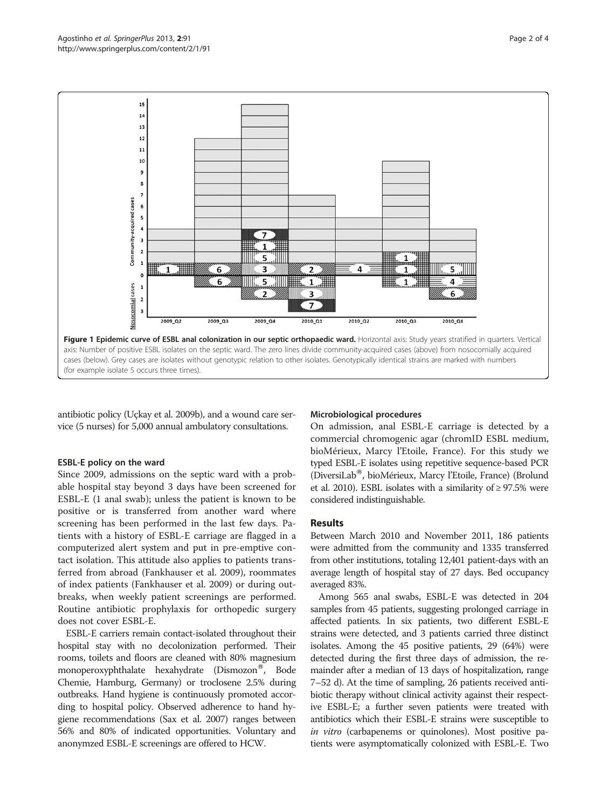<span id="page-1-0"></span>

antibiotic policy (Uçkay et al. [2009b](#page-2-0)), and a wound care service (5 nurses) for 5,000 annual ambulatory consultations.

#### ESBL-E policy on the ward

Since 2009, admissions on the septic ward with a probable hospital stay beyond 3 days have been screened for ESBL-E (1 anal swab); unless the patient is known to be positive or is transferred from another ward where screening has been performed in the last few days. Patients with a history of ESBL-E carriage are flagged in a computerized alert system and put in pre-emptive contact isolation. This attitude also applies to patients transferred from abroad (Fankhauser et al. [2009\)](#page-2-0), roommates of index patients (Fankhauser et al. [2009\)](#page-2-0) or during outbreaks, when weekly patient screenings are performed. Routine antibiotic prophylaxis for orthopedic surgery does not cover ESBL-E.

ESBL-E carriers remain contact-isolated throughout their hospital stay with no decolonization performed. Their rooms, toilets and floors are cleaned with 80% magnesium monoperoxyphthalate hexahydrate (Dismozon<sup>®</sup>, Bode Chemie, Hamburg, Germany) or troclosene 2.5% during outbreaks. Hand hygiene is continuously promoted according to hospital policy. Observed adherence to hand hygiene recommendations (Sax et al. [2007\)](#page-3-0) ranges between 56% and 80% of indicated opportunities. Voluntary and anonymzed ESBL-E screenings are offered to HCW.

#### Microbiological procedures

On admission, anal ESBL-E carriage is detected by a commercial chromogenic agar (chromID ESBL medium, bioMérieux, Marcy l'Etoile, France). For this study we typed ESBL-E isolates using repetitive sequence-based PCR (DiversiLab<sup>®</sup>, bioMérieux, Marcy l'Etoile, France) (Brolund et al. [2010\)](#page-3-0). ESBL isolates with a similarity of  $\geq$  97.5% were considered indistinguishable.

# **Results**

Between March 2010 and November 2011, 186 patients were admitted from the community and 1335 transferred from other institutions, totaling 12,401 patient-days with an average length of hospital stay of 27 days. Bed occupancy averaged 83%.

Among 565 anal swabs, ESBL-E was detected in 204 samples from 45 patients, suggesting prolonged carriage in affected patients. In six patients, two different ESBL-E strains were detected, and 3 patients carried three distinct isolates. Among the 45 positive patients, 29 (64%) were detected during the first three days of admission, the remainder after a median of 13 days of hospitalization, range 7–52 d). At the time of sampling, 26 patients received antibiotic therapy without clinical activity against their respective ESBL-E; a further seven patients were treated with antibiotics which their ESBL-E strains were susceptible to in vitro (carbapenems or quinolones). Most positive patients were asymptomatically colonized with ESBL-E. Two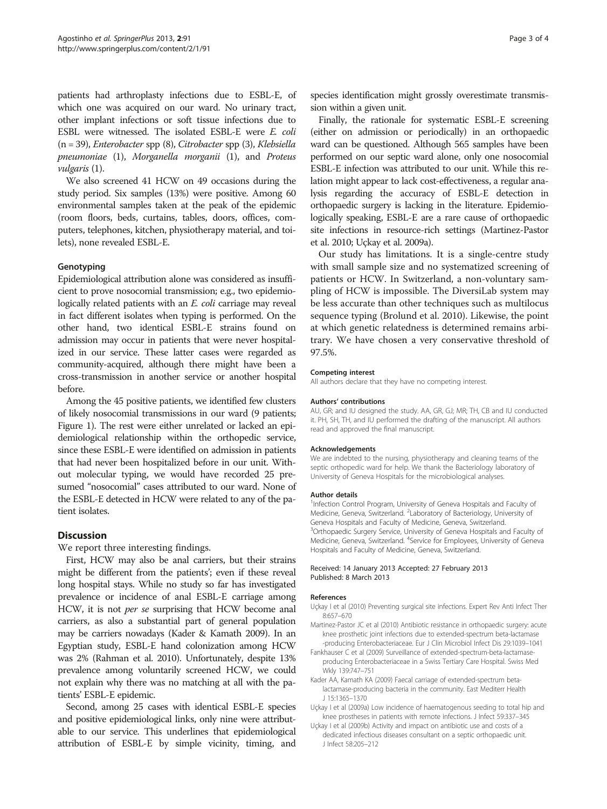<span id="page-2-0"></span>patients had arthroplasty infections due to ESBL-E, of which one was acquired on our ward. No urinary tract, other implant infections or soft tissue infections due to ESBL were witnessed. The isolated ESBL-E were E. coli (n = 39), Enterobacter spp (8), Citrobacter spp (3), Klebsiella pneumoniae (1), Morganella morganii (1), and Proteus vulgaris (1).

We also screened 41 HCW on 49 occasions during the study period. Six samples (13%) were positive. Among 60 environmental samples taken at the peak of the epidemic (room floors, beds, curtains, tables, doors, offices, computers, telephones, kitchen, physiotherapy material, and toilets), none revealed ESBL-E.

# Genotyping

Epidemiological attribution alone was considered as insufficient to prove nosocomial transmission; e.g., two epidemiologically related patients with an E. coli carriage may reveal in fact different isolates when typing is performed. On the other hand, two identical ESBL-E strains found on admission may occur in patients that were never hospitalized in our service. These latter cases were regarded as community-acquired, although there might have been a cross-transmission in another service or another hospital before.

Among the 45 positive patients, we identified few clusters of likely nosocomial transmissions in our ward (9 patients; Figure [1](#page-1-0)). The rest were either unrelated or lacked an epidemiological relationship within the orthopedic service, since these ESBL-E were identified on admission in patients that had never been hospitalized before in our unit. Without molecular typing, we would have recorded 25 presumed "nosocomial" cases attributed to our ward. None of the ESBL-E detected in HCW were related to any of the patient isolates.

# **Discussion**

We report three interesting findings.

First, HCW may also be anal carriers, but their strains might be different from the patients'; even if these reveal long hospital stays. While no study so far has investigated prevalence or incidence of anal ESBL-E carriage among HCW, it is not per se surprising that HCW become anal carriers, as also a substantial part of general population may be carriers nowadays (Kader & Kamath 2009). In an Egyptian study, ESBL-E hand colonization among HCW was 2% (Rahman et al. [2010](#page-3-0)). Unfortunately, despite 13% prevalence among voluntarily screened HCW, we could not explain why there was no matching at all with the patients' ESBL-E epidemic.

Second, among 25 cases with identical ESBL-E species and positive epidemiological links, only nine were attributable to our service. This underlines that epidemiological attribution of ESBL-E by simple vicinity, timing, and species identification might grossly overestimate transmission within a given unit.

Finally, the rationale for systematic ESBL-E screening (either on admission or periodically) in an orthopaedic ward can be questioned. Although 565 samples have been performed on our septic ward alone, only one nosocomial ESBL-E infection was attributed to our unit. While this relation might appear to lack cost-effectiveness, a regular analysis regarding the accuracy of ESBL-E detection in orthopaedic surgery is lacking in the literature. Epidemiologically speaking, ESBL-E are a rare cause of orthopaedic site infections in resource-rich settings (Martinez-Pastor et al. 2010; Uçkay et al. 2009a).

Our study has limitations. It is a single-centre study with small sample size and no systematized screening of patients or HCW. In Switzerland, a non-voluntary sampling of HCW is impossible. The DiversiLab system may be less accurate than other techniques such as multilocus sequence typing (Brolund et al. [2010\)](#page-3-0). Likewise, the point at which genetic relatedness is determined remains arbitrary. We have chosen a very conservative threshold of 97.5%.

#### Competing interest

All authors declare that they have no competing interest.

#### Authors' contributions

AU, GR; and IU designed the study. AA, GR, GJ; MR; TH, CB and IU conducted it. PH, SH, TH, and IU performed the drafting of the manuscript. All authors read and approved the final manuscript.

#### Acknowledgements

We are indebted to the nursing, physiotherapy and cleaning teams of the septic orthopedic ward for help. We thank the Bacteriology laboratory of University of Geneva Hospitals for the microbiological analyses.

#### Author details

<sup>1</sup>Infection Control Program, University of Geneva Hospitals and Faculty of Medicine, Geneva, Switzerland. <sup>2</sup> Laboratory of Bacteriology, University of Geneva Hospitals and Faculty of Medicine, Geneva, Switzerland. <sup>3</sup>Orthopaedic Surgery Service, University of Geneva Hospitals and Faculty of Medicine, Geneva, Switzerland. <sup>4</sup>Service for Employees, University of Geneva Hospitals and Faculty of Medicine, Geneva, Switzerland.

#### Received: 14 January 2013 Accepted: 27 February 2013 Published: 8 March 2013

#### References

- Uçkay I et al (2010) Preventing surgical site infections. Expert Rev Anti Infect Ther 8:657–670
- Martinez-Pastor JC et al (2010) Antibiotic resistance in orthopaedic surgery: acute knee prosthetic joint infections due to extended-spectrum beta-lactamase -producing Enterobacteriaceae. Eur J Clin Microbiol Infect Dis 29:1039–1041
- Fankhauser C et al (2009) Surveillance of extended-spectrum-beta-lactamaseproducing Enterobacteriaceae in a Swiss Tertiary Care Hospital. Swiss Med Wkly 139:747–751
- Kader AA, Kamath KA (2009) Faecal carriage of extended-spectrum betalactamase-producing bacteria in the community. East Mediterr Health J 15:1365–1370
- Uçkay I et al (2009a) Low incidence of haematogenous seeding to total hip and knee prostheses in patients with remote infections. J Infect 59:337–345
- Uçkay I et al (2009b) Activity and impact on antibiotic use and costs of a dedicated infectious diseases consultant on a septic orthopaedic unit. J Infect 58:205–212